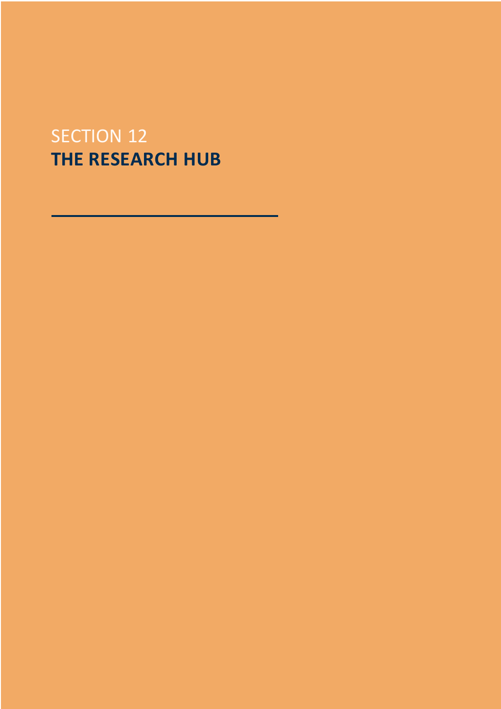# SECTION 12 **THE RESEARCH HUB**